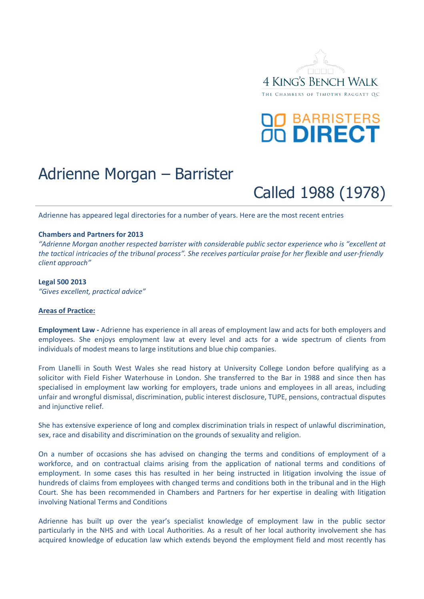

# **OO BARRISTERS**<br>OO DIRECT

# Adrienne Morgan – Barrister

Called 1988 (1978)

Adrienne has appeared legal directories for a number of years. Here are the most recent entries

#### **Chambers and Partners for 2013**

*"Adrienne Morgan another respected barrister with considerable public sector experience who is "excellent at the tactical intricacies of the tribunal process". She receives particular praise for her flexible and user-friendly client approach"*

#### **Legal 500 2013**

*"Gives excellent, practical advice"*

#### **Areas of Practice:**

**Employment Law -** Adrienne has experience in all areas of employment law and acts for both employers and employees. She enjoys employment law at every level and acts for a wide spectrum of clients from individuals of modest means to large institutions and blue chip companies.

From Llanelli in South West Wales she read history at University College London before qualifying as a solicitor with Field Fisher Waterhouse in London. She transferred to the Bar in 1988 and since then has specialised in employment law working for employers, trade unions and employees in all areas, including unfair and wrongful dismissal, discrimination, public interest disclosure, TUPE, pensions, contractual disputes and injunctive relief.

She has extensive experience of long and complex discrimination trials in respect of unlawful discrimination, sex, race and disability and discrimination on the grounds of sexuality and religion.

On a number of occasions she has advised on changing the terms and conditions of employment of a workforce, and on contractual claims arising from the application of national terms and conditions of employment. In some cases this has resulted in her being instructed in litigation involving the issue of hundreds of claims from employees with changed terms and conditions both in the tribunal and in the High Court. She has been recommended in Chambers and Partners for her expertise in dealing with litigation involving National Terms and Conditions

Adrienne has built up over the year's specialist knowledge of employment law in the public sector particularly in the NHS and with Local Authorities. As a result of her local authority involvement she has acquired knowledge of education law which extends beyond the employment field and most recently has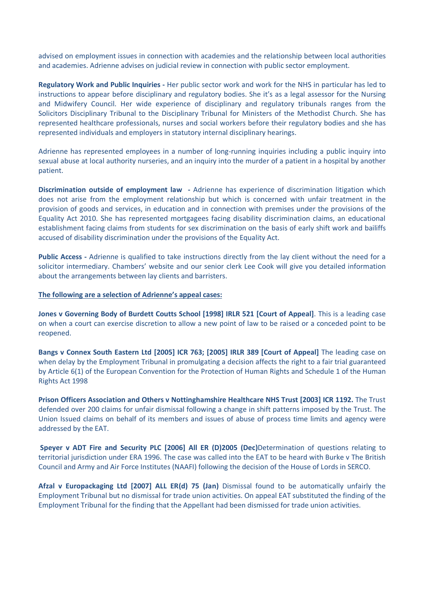advised on employment issues in connection with academies and the relationship between local authorities and academies. Adrienne advises on judicial review in connection with public sector employment.

**Regulatory Work and Public Inquiries -** Her public sector work and work for the NHS in particular has led to instructions to appear before disciplinary and regulatory bodies. She it's as a legal assessor for the Nursing and Midwifery Council. Her wide experience of disciplinary and regulatory tribunals ranges from the Solicitors Disciplinary Tribunal to the Disciplinary Tribunal for Ministers of the Methodist Church. She has represented healthcare professionals, nurses and social workers before their regulatory bodies and she has represented individuals and employers in statutory internal disciplinary hearings.

Adrienne has represented employees in a number of long-running inquiries including a public inquiry into sexual abuse at local authority nurseries, and an inquiry into the murder of a patient in a hospital by another patient.

**Discrimination outside of employment law -** Adrienne has experience of discrimination litigation which does not arise from the employment relationship but which is concerned with unfair treatment in the provision of goods and services, in education and in connection with premises under the provisions of the Equality Act 2010. She has represented mortgagees facing disability discrimination claims, an educational establishment facing claims from students for sex discrimination on the basis of early shift work and bailiffs accused of disability discrimination under the provisions of the Equality Act.

**Public Access -** Adrienne is qualified to take instructions directly from the lay client without the need for a solicitor intermediary. Chambers' website and our senior clerk Lee Cook will give you detailed information about the arrangements between lay clients and barristers.

#### **The following are a selection of Adrienne's appeal cases:**

**Jones v Governing Body of Burdett Coutts School [1998] IRLR 521 [Court of Appeal]**. This is a leading case on when a court can exercise discretion to allow a new point of law to be raised or a conceded point to be reopened.

**Bangs v Connex South Eastern Ltd [2005] ICR 763; [2005] IRLR 389 [Court of Appeal]** The leading case on when delay by the Employment Tribunal in promulgating a decision affects the right to a fair trial guaranteed by Article 6(1) of the European Convention for the Protection of Human Rights and Schedule 1 of the Human Rights Act 1998

**Prison Officers Association and Others v Nottinghamshire Healthcare NHS Trust [2003] ICR 1192.** The Trust defended over 200 claims for unfair dismissal following a change in shift patterns imposed by the Trust. The Union Issued claims on behalf of its members and issues of abuse of process time limits and agency were addressed by the EAT.

**Speyer v ADT Fire and Security PLC [2006] All ER (D)2005 (Dec)**Determination of questions relating to territorial jurisdiction under ERA 1996. The case was called into the EAT to be heard with Burke v The British Council and Army and Air Force Institutes (NAAFI) following the decision of the House of Lords in SERCO.

**Afzal v Europackaging Ltd [2007] ALL ER(d) 75 (Jan)** Dismissal found to be automatically unfairly the Employment Tribunal but no dismissal for trade union activities. On appeal EAT substituted the finding of the Employment Tribunal for the finding that the Appellant had been dismissed for trade union activities.